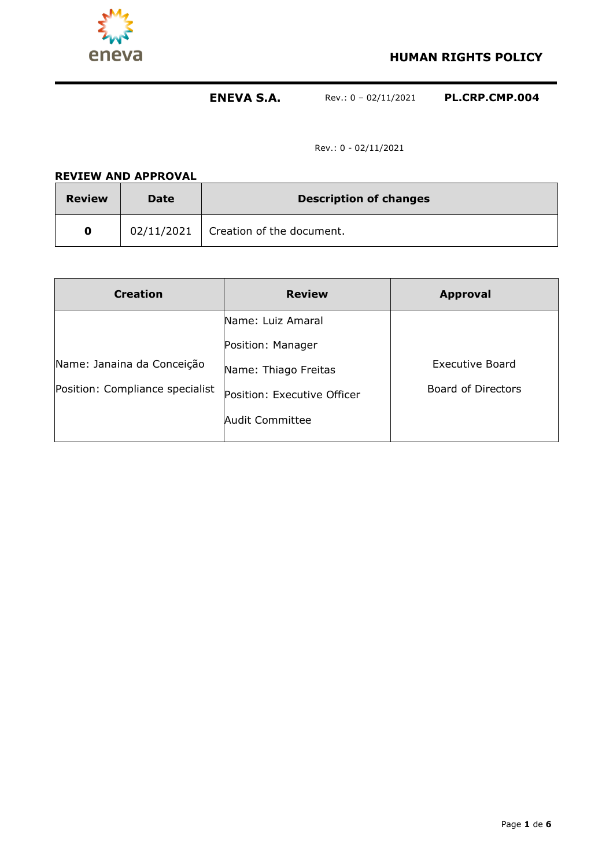

**HUMAN RIGHTS POLICY**

# **ENEVA S.A.** Rev.: 0 – 02/11/2021 **PL.CRP.CMP.004**

Rev.: 0 - 02/11/2021

| <b>REVIEW AND APPROVAL</b> |      |                                        |  |  |  |
|----------------------------|------|----------------------------------------|--|--|--|
| <b>Review</b>              | Date | <b>Description of changes</b>          |  |  |  |
| 0                          |      | $02/11/2021$ Creation of the document. |  |  |  |

| <b>Creation</b>                                               | <b>Review</b>                                                                               | <b>Approval</b>                       |
|---------------------------------------------------------------|---------------------------------------------------------------------------------------------|---------------------------------------|
|                                                               | Name: Luiz Amaral                                                                           |                                       |
| Name: Janaina da Conceição<br>Position: Compliance specialist | Position: Manager<br>Name: Thiago Freitas<br>Position: Executive Officer<br>Audit Committee | Executive Board<br>Board of Directors |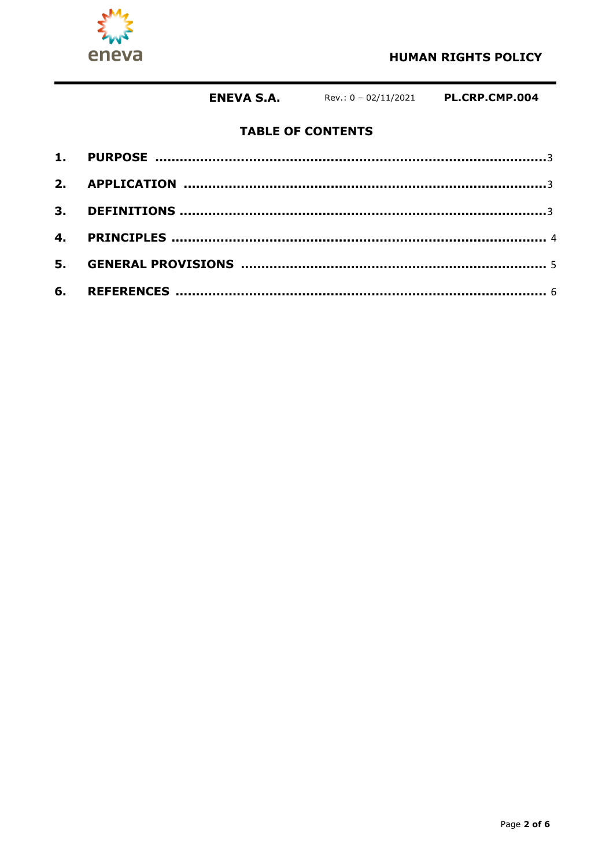

# **TABLE OF CONTENTS**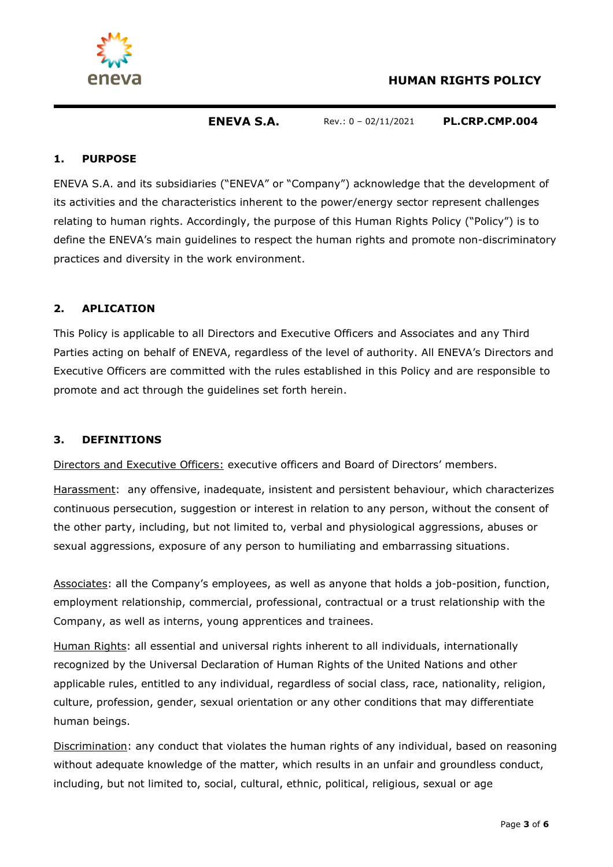

### **1. PURPOSE**

ENEVA S.A. and its subsidiaries ("ENEVA" or "Company") acknowledge that the development of its activities and the characteristics inherent to the power/energy sector represent challenges relating to human rights. Accordingly, the purpose of this Human Rights Policy ("Policy") is to define the ENEVA's main guidelines to respect the human rights and promote non-discriminatory practices and diversity in the work environment.

## **2. APLICATION**

This Policy is applicable to all Directors and Executive Officers and Associates and any Third Parties acting on behalf of ENEVA, regardless of the level of authority. All ENEVA's Directors and Executive Officers are committed with the rules established in this Policy and are responsible to promote and act through the guidelines set forth herein.

### **3. DEFINITIONS**

Directors and Executive Officers: executive officers and Board of Directors' members.

Harassment: any offensive, inadequate, insistent and persistent behaviour, which characterizes continuous persecution, suggestion or interest in relation to any person, without the consent of the other party, including, but not limited to, verbal and physiological aggressions, abuses or sexual aggressions, exposure of any person to humiliating and embarrassing situations.

Associates: all the Company's employees, as well as anyone that holds a job-position, function, employment relationship, commercial, professional, contractual or a trust relationship with the Company, as well as interns, young apprentices and trainees.

Human Rights: all essential and universal rights inherent to all individuals, internationally recognized by the Universal Declaration of Human Rights of the United Nations and other applicable rules, entitled to any individual, regardless of social class, race, nationality, religion, culture, profession, gender, sexual orientation or any other conditions that may differentiate human beings.

Discrimination: any conduct that violates the human rights of any individual, based on reasoning without adequate knowledge of the matter, which results in an unfair and groundless conduct, including, but not limited to, social, cultural, ethnic, political, religious, sexual or age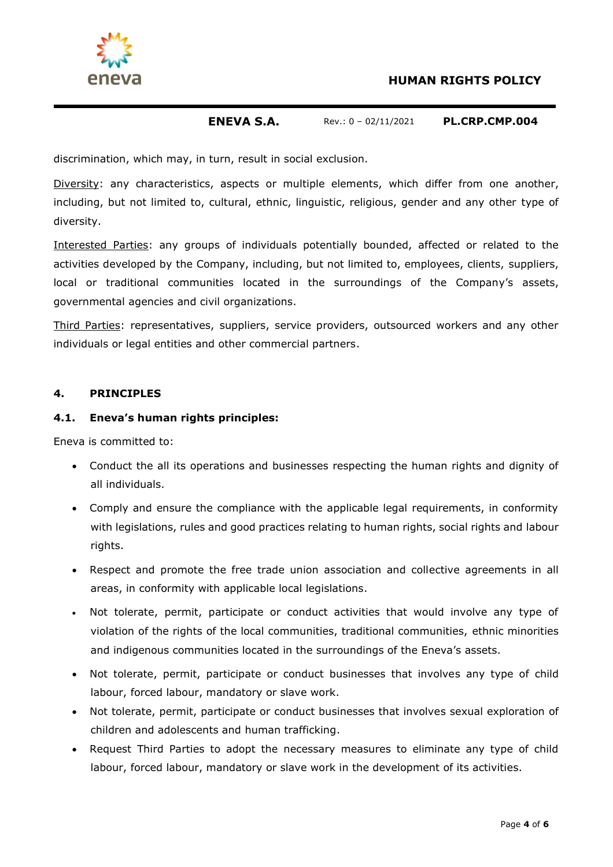

discrimination, which may, in turn, result in social exclusion.

Diversity: any characteristics, aspects or multiple elements, which differ from one another, including, but not limited to, cultural, ethnic, linguistic, religious, gender and any other type of diversity.

Interested Parties: any groups of individuals potentially bounded, affected or related to the activities developed by the Company, including, but not limited to, employees, clients, suppliers, local or traditional communities located in the surroundings of the Company's assets, governmental agencies and civil organizations.

Third Parties: representatives, suppliers, service providers, outsourced workers and any other individuals or legal entities and other commercial partners.

#### **4. PRINCIPLES**

#### **4.1. Eneva's human rights principles:**

Eneva is committed to:

- Conduct the all its operations and businesses respecting the human rights and dignity of all individuals.
- Comply and ensure the compliance with the applicable legal requirements, in conformity with legislations, rules and good practices relating to human rights, social rights and labour rights.
- Respect and promote the free trade union association and collective agreements in all areas, in conformity with applicable local legislations.
- Not tolerate, permit, participate or conduct activities that would involve any type of violation of the rights of the local communities, traditional communities, ethnic minorities and indigenous communities located in the surroundings of the Eneva's assets.
- Not tolerate, permit, participate or conduct businesses that involves any type of child labour, forced labour, mandatory or slave work.
- Not tolerate, permit, participate or conduct businesses that involves sexual exploration of children and adolescents and human trafficking.
- Request Third Parties to adopt the necessary measures to eliminate any type of child labour, forced labour, mandatory or slave work in the development of its activities.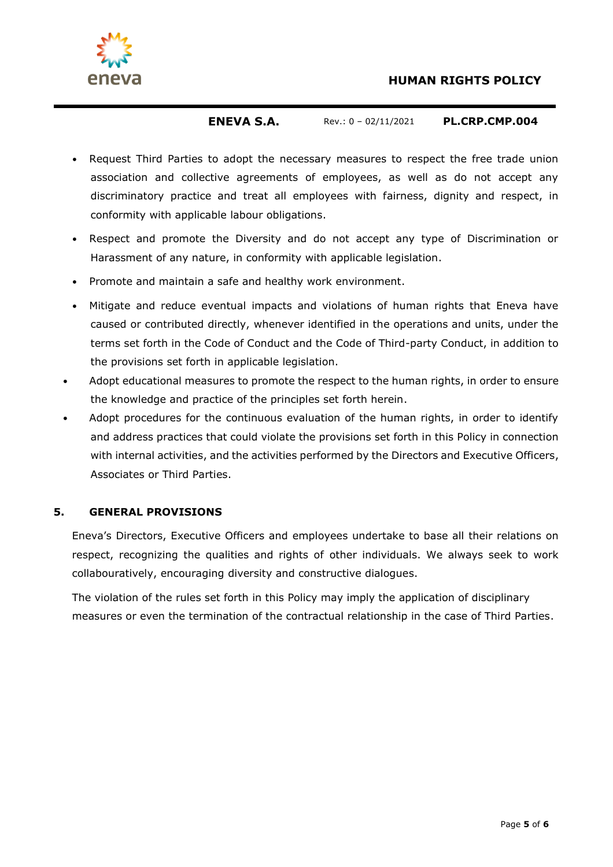



- Request Third Parties to adopt the necessary measures to respect the free trade union association and collective agreements of employees, as well as do not accept any discriminatory practice and treat all employees with fairness, dignity and respect, in conformity with applicable labour obligations.
- Respect and promote the Diversity and do not accept any type of Discrimination or Harassment of any nature, in conformity with applicable legislation.
- Promote and maintain a safe and healthy work environment.
- Mitigate and reduce eventual impacts and violations of human rights that Eneva have caused or contributed directly, whenever identified in the operations and units, under the terms set forth in the Code of Conduct and the Code of Third-party Conduct, in addition to the provisions set forth in applicable legislation.
- Adopt educational measures to promote the respect to the human rights, in order to ensure the knowledge and practice of the principles set forth herein.
- Adopt procedures for the continuous evaluation of the human rights, in order to identify and address practices that could violate the provisions set forth in this Policy in connection with internal activities, and the activities performed by the Directors and Executive Officers, Associates or Third Parties.

### **5. GENERAL PROVISIONS**

Eneva's Directors, Executive Officers and employees undertake to base all their relations on respect, recognizing the qualities and rights of other individuals. We always seek to work collabouratively, encouraging diversity and constructive dialogues.

The violation of the rules set forth in this Policy may imply the application of disciplinary measures or even the termination of the contractual relationship in the case of Third Parties.